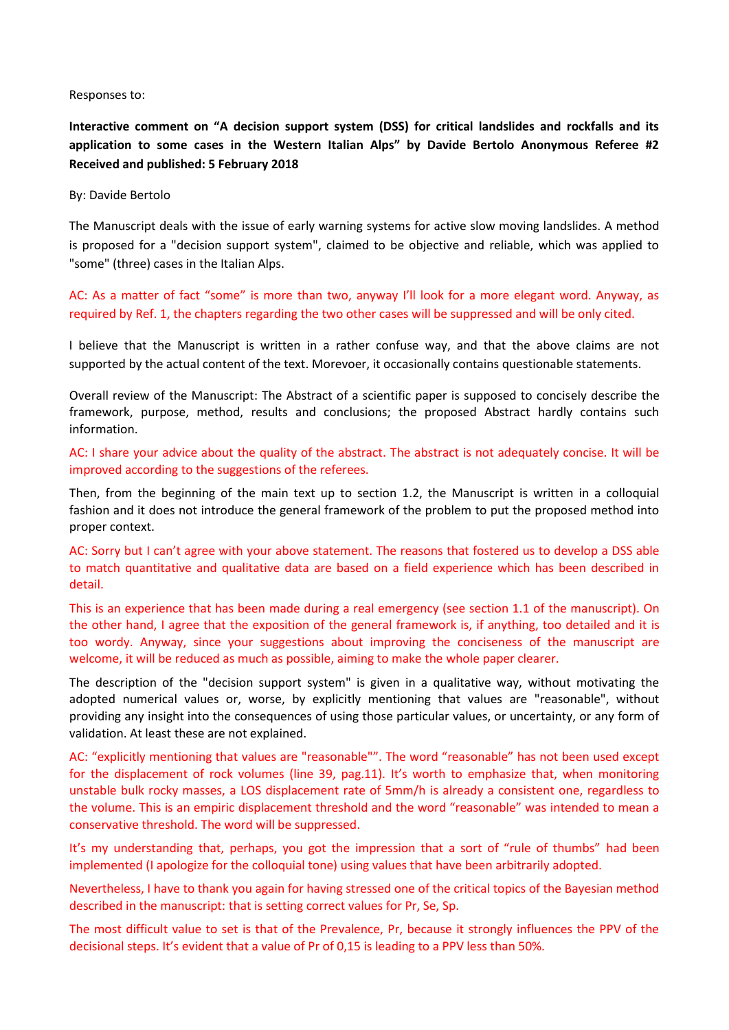#### Responses to:

**Interactive comment on "A decision support system (DSS) for critical landslides and rockfalls and its application to some cases in the Western Italian Alps" by Davide Bertolo Anonymous Referee #2 Received and published: 5 February 2018**

#### By: Davide Bertolo

The Manuscript deals with the issue of early warning systems for active slow moving landslides. A method is proposed for a "decision support system", claimed to be objective and reliable, which was applied to "some" (three) cases in the Italian Alps.

AC: As a matter of fact "some" is more than two, anyway I'll look for a more elegant word. Anyway, as required by Ref. 1, the chapters regarding the two other cases will be suppressed and will be only cited.

I believe that the Manuscript is written in a rather confuse way, and that the above claims are not supported by the actual content of the text. Morevoer, it occasionally contains questionable statements.

Overall review of the Manuscript: The Abstract of a scientific paper is supposed to concisely describe the framework, purpose, method, results and conclusions; the proposed Abstract hardly contains such information.

AC: I share your advice about the quality of the abstract. The abstract is not adequately concise. It will be improved according to the suggestions of the referees.

Then, from the beginning of the main text up to section 1.2, the Manuscript is written in a colloquial fashion and it does not introduce the general framework of the problem to put the proposed method into proper context.

AC: Sorry but I can't agree with your above statement. The reasons that fostered us to develop a DSS able to match quantitative and qualitative data are based on a field experience which has been described in detail.

This is an experience that has been made during a real emergency (see section 1.1 of the manuscript). On the other hand, I agree that the exposition of the general framework is, if anything, too detailed and it is too wordy. Anyway, since your suggestions about improving the conciseness of the manuscript are welcome, it will be reduced as much as possible, aiming to make the whole paper clearer.

The description of the "decision support system" is given in a qualitative way, without motivating the adopted numerical values or, worse, by explicitly mentioning that values are "reasonable", without providing any insight into the consequences of using those particular values, or uncertainty, or any form of validation. At least these are not explained.

AC: "explicitly mentioning that values are "reasonable"". The word "reasonable" has not been used except for the displacement of rock volumes (line 39, pag.11). It's worth to emphasize that, when monitoring unstable bulk rocky masses, a LOS displacement rate of 5mm/h is already a consistent one, regardless to the volume. This is an empiric displacement threshold and the word "reasonable" was intended to mean a conservative threshold. The word will be suppressed.

It's my understanding that, perhaps, you got the impression that a sort of "rule of thumbs" had been implemented (I apologize for the colloquial tone) using values that have been arbitrarily adopted.

Nevertheless, I have to thank you again for having stressed one of the critical topics of the Bayesian method described in the manuscript: that is setting correct values for Pr, Se, Sp.

The most difficult value to set is that of the Prevalence, Pr, because it strongly influences the PPV of the decisional steps. It's evident that a value of Pr of 0,15 is leading to a PPV less than 50%.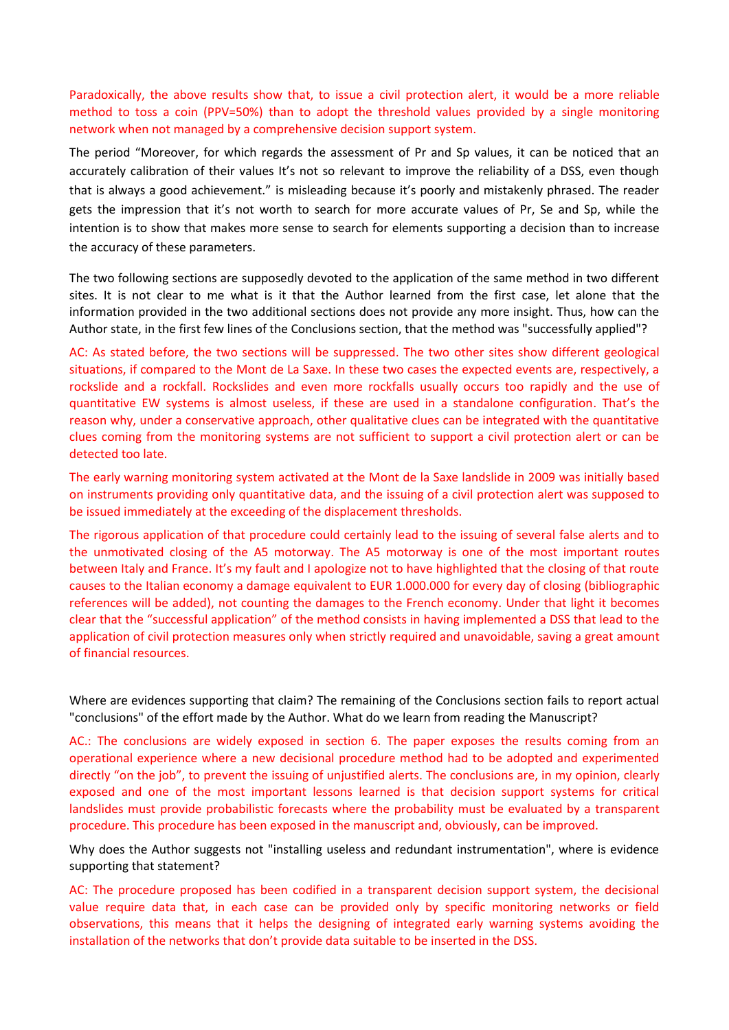Paradoxically, the above results show that, to issue a civil protection alert, it would be a more reliable method to toss a coin (PPV=50%) than to adopt the threshold values provided by a single monitoring network when not managed by a comprehensive decision support system.

The period "Moreover, for which regards the assessment of Pr and Sp values, it can be noticed that an accurately calibration of their values It's not so relevant to improve the reliability of a DSS, even though that is always a good achievement." is misleading because it's poorly and mistakenly phrased. The reader gets the impression that it's not worth to search for more accurate values of Pr, Se and Sp, while the intention is to show that makes more sense to search for elements supporting a decision than to increase the accuracy of these parameters.

The two following sections are supposedly devoted to the application of the same method in two different sites. It is not clear to me what is it that the Author learned from the first case, let alone that the information provided in the two additional sections does not provide any more insight. Thus, how can the Author state, in the first few lines of the Conclusions section, that the method was "successfully applied"?

AC: As stated before, the two sections will be suppressed. The two other sites show different geological situations, if compared to the Mont de La Saxe. In these two cases the expected events are, respectively, a rockslide and a rockfall. Rockslides and even more rockfalls usually occurs too rapidly and the use of quantitative EW systems is almost useless, if these are used in a standalone configuration. That's the reason why, under a conservative approach, other qualitative clues can be integrated with the quantitative clues coming from the monitoring systems are not sufficient to support a civil protection alert or can be detected too late.

The early warning monitoring system activated at the Mont de la Saxe landslide in 2009 was initially based on instruments providing only quantitative data, and the issuing of a civil protection alert was supposed to be issued immediately at the exceeding of the displacement thresholds.

The rigorous application of that procedure could certainly lead to the issuing of several false alerts and to the unmotivated closing of the A5 motorway. The A5 motorway is one of the most important routes between Italy and France. It's my fault and I apologize not to have highlighted that the closing of that route causes to the Italian economy a damage equivalent to EUR 1.000.000 for every day of closing (bibliographic references will be added), not counting the damages to the French economy. Under that light it becomes clear that the "successful application" of the method consists in having implemented a DSS that lead to the application of civil protection measures only when strictly required and unavoidable, saving a great amount of financial resources.

Where are evidences supporting that claim? The remaining of the Conclusions section fails to report actual "conclusions" of the effort made by the Author. What do we learn from reading the Manuscript?

AC.: The conclusions are widely exposed in section 6. The paper exposes the results coming from an operational experience where a new decisional procedure method had to be adopted and experimented directly "on the job", to prevent the issuing of unjustified alerts. The conclusions are, in my opinion, clearly exposed and one of the most important lessons learned is that decision support systems for critical landslides must provide probabilistic forecasts where the probability must be evaluated by a transparent procedure. This procedure has been exposed in the manuscript and, obviously, can be improved.

Why does the Author suggests not "installing useless and redundant instrumentation", where is evidence supporting that statement?

AC: The procedure proposed has been codified in a transparent decision support system, the decisional value require data that, in each case can be provided only by specific monitoring networks or field observations, this means that it helps the designing of integrated early warning systems avoiding the installation of the networks that don't provide data suitable to be inserted in the DSS.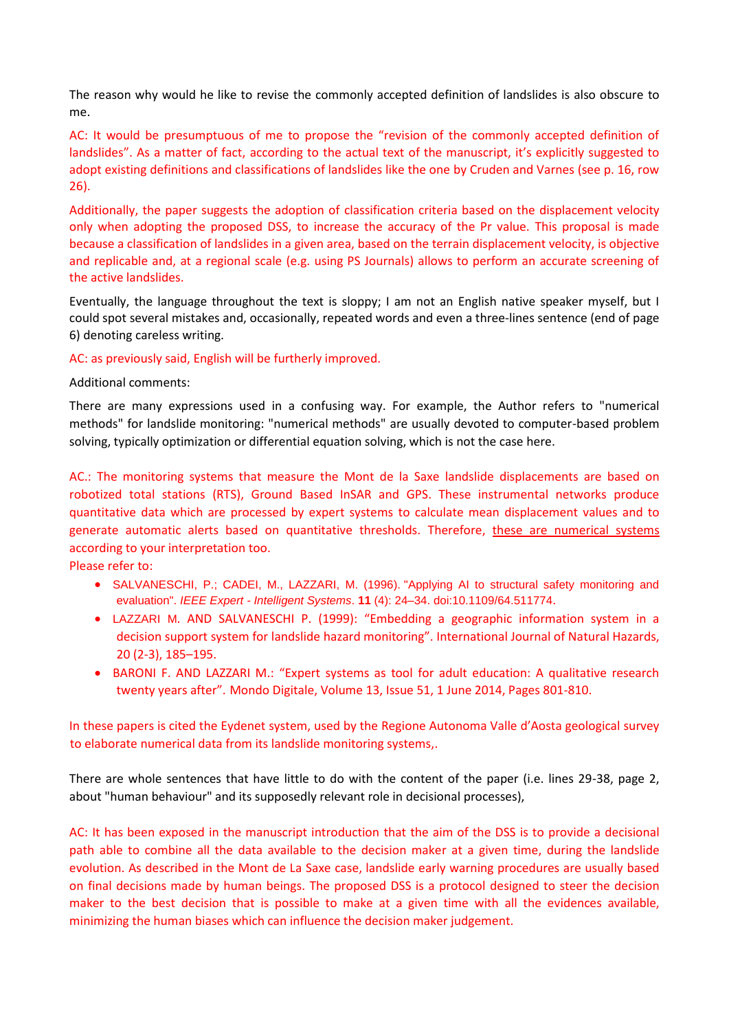The reason why would he like to revise the commonly accepted definition of landslides is also obscure to me.

AC: It would be presumptuous of me to propose the "revision of the commonly accepted definition of landslides". As a matter of fact, according to the actual text of the manuscript, it's explicitly suggested to adopt existing definitions and classifications of landslides like the one by Cruden and Varnes (see p. 16, row 26).

Additionally, the paper suggests the adoption of classification criteria based on the displacement velocity only when adopting the proposed DSS, to increase the accuracy of the Pr value. This proposal is made because a classification of landslides in a given area, based on the terrain displacement velocity, is objective and replicable and, at a regional scale (e.g. using PS Journals) allows to perform an accurate screening of the active landslides.

Eventually, the language throughout the text is sloppy; I am not an English native speaker myself, but I could spot several mistakes and, occasionally, repeated words and even a three-lines sentence (end of page 6) denoting careless writing.

#### AC: as previously said, English will be furtherly improved.

Additional comments:

There are many expressions used in a confusing way. For example, the Author refers to "numerical methods" for landslide monitoring: "numerical methods" are usually devoted to computer-based problem solving, typically optimization or differential equation solving, which is not the case here.

AC.: The monitoring systems that measure the Mont de la Saxe landslide displacements are based on robotized total stations (RTS), Ground Based InSAR and GPS. These instrumental networks produce quantitative data which are processed by expert systems to calculate mean displacement values and to generate automatic alerts based on quantitative thresholds. Therefore, these are numerical systems according to your interpretation too.

Please refer to:

- SALVANESCHI, P.; CADEI, M., LAZZARI, M. (1996). ["Applying AI to structural safety monitoring and](http://www.computer.org/csdl/mags/ex/1996/04/x4024-abs.html)  [evaluation".](http://www.computer.org/csdl/mags/ex/1996/04/x4024-abs.html) *IEEE Expert - Intelligent Systems*. **11** (4): 24–34. [doi](https://en.wikipedia.org/wiki/Digital_object_identifier)[:10.1109/64.511774](https://doi.org/10.1109%2F64.511774).
- LAZZARI M. AND SALVANESCHI P. (1999): "Embedding a geographic information system in a decision support system for landslide hazard monitoring". International Journal of Natural Hazards, 20 (2-3), 185–195.
- BARONI F. AND LAZZARI M.: "Expert systems as tool for adult education: A qualitative research twenty years after". Mondo Digitale, Volume 13, Issue 51, 1 June 2014, Pages 801-810.

In these papers is cited the Eydenet system, used by the Regione Autonoma Valle d'Aosta geological survey to elaborate numerical data from its landslide monitoring systems,.

There are whole sentences that have little to do with the content of the paper (i.e. lines 29-38, page 2, about "human behaviour" and its supposedly relevant role in decisional processes),

AC: It has been exposed in the manuscript introduction that the aim of the DSS is to provide a decisional path able to combine all the data available to the decision maker at a given time, during the landslide evolution. As described in the Mont de La Saxe case, landslide early warning procedures are usually based on final decisions made by human beings. The proposed DSS is a protocol designed to steer the decision maker to the best decision that is possible to make at a given time with all the evidences available, minimizing the human biases which can influence the decision maker judgement.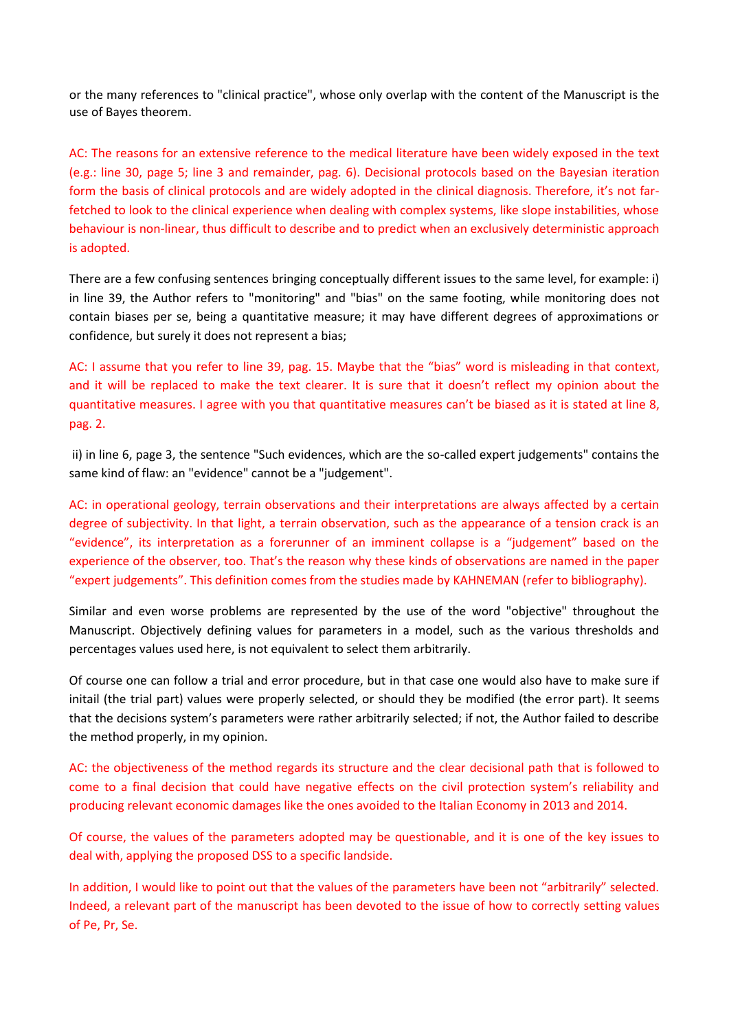or the many references to "clinical practice", whose only overlap with the content of the Manuscript is the use of Bayes theorem.

AC: The reasons for an extensive reference to the medical literature have been widely exposed in the text (e.g.: line 30, page 5; line 3 and remainder, pag. 6). Decisional protocols based on the Bayesian iteration form the basis of clinical protocols and are widely adopted in the clinical diagnosis. Therefore, it's not farfetched to look to the clinical experience when dealing with complex systems, like slope instabilities, whose behaviour is non-linear, thus difficult to describe and to predict when an exclusively deterministic approach is adopted.

There are a few confusing sentences bringing conceptually different issues to the same level, for example: i) in line 39, the Author refers to "monitoring" and "bias" on the same footing, while monitoring does not contain biases per se, being a quantitative measure; it may have different degrees of approximations or confidence, but surely it does not represent a bias;

AC: I assume that you refer to line 39, pag. 15. Maybe that the "bias" word is misleading in that context, and it will be replaced to make the text clearer. It is sure that it doesn't reflect my opinion about the quantitative measures. I agree with you that quantitative measures can't be biased as it is stated at line 8, pag. 2.

ii) in line 6, page 3, the sentence "Such evidences, which are the so-called expert judgements" contains the same kind of flaw: an "evidence" cannot be a "judgement".

AC: in operational geology, terrain observations and their interpretations are always affected by a certain degree of subjectivity. In that light, a terrain observation, such as the appearance of a tension crack is an "evidence", its interpretation as a forerunner of an imminent collapse is a "judgement" based on the experience of the observer, too. That's the reason why these kinds of observations are named in the paper "expert judgements". This definition comes from the studies made by KAHNEMAN (refer to bibliography).

Similar and even worse problems are represented by the use of the word "objective" throughout the Manuscript. Objectively defining values for parameters in a model, such as the various thresholds and percentages values used here, is not equivalent to select them arbitrarily.

Of course one can follow a trial and error procedure, but in that case one would also have to make sure if initail (the trial part) values were properly selected, or should they be modified (the error part). It seems that the decisions system's parameters were rather arbitrarily selected; if not, the Author failed to describe the method properly, in my opinion.

AC: the objectiveness of the method regards its structure and the clear decisional path that is followed to come to a final decision that could have negative effects on the civil protection system's reliability and producing relevant economic damages like the ones avoided to the Italian Economy in 2013 and 2014.

Of course, the values of the parameters adopted may be questionable, and it is one of the key issues to deal with, applying the proposed DSS to a specific landside.

In addition, I would like to point out that the values of the parameters have been not "arbitrarily" selected. Indeed, a relevant part of the manuscript has been devoted to the issue of how to correctly setting values of Pe, Pr, Se.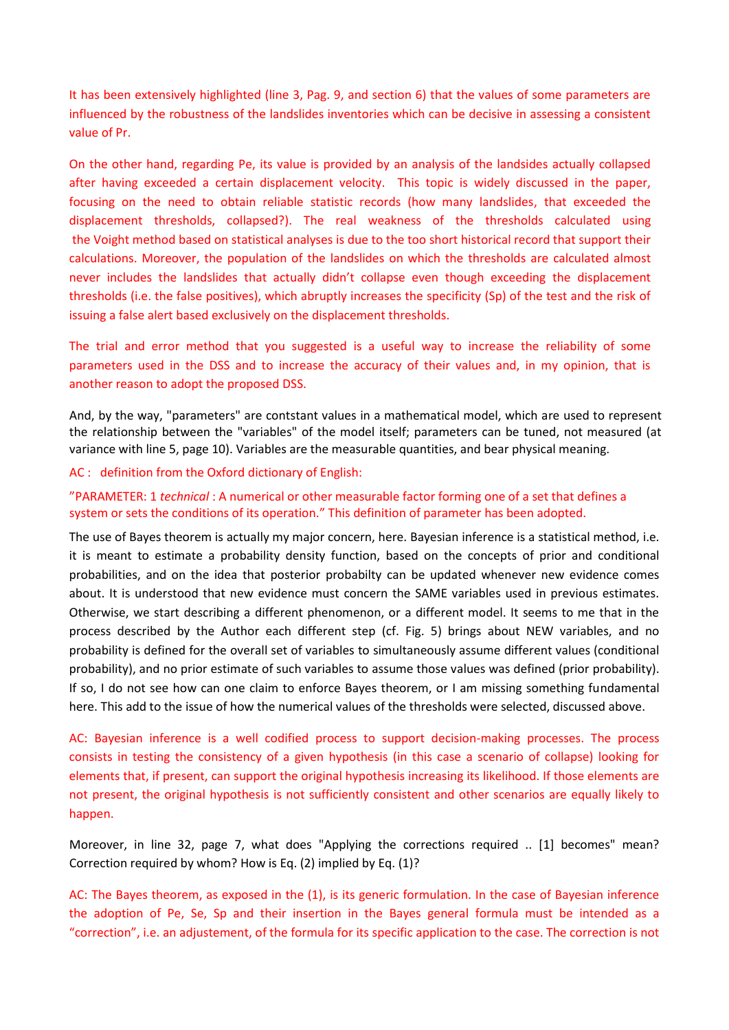It has been extensively highlighted (line 3, Pag. 9, and section 6) that the values of some parameters are influenced by the robustness of the landslides inventories which can be decisive in assessing a consistent value of Pr.

On the other hand, regarding Pe, its value is provided by an analysis of the landsides actually collapsed after having exceeded a certain displacement velocity. This topic is widely discussed in the paper, focusing on the need to obtain reliable statistic records (how many landslides, that exceeded the displacement thresholds, collapsed?). The real weakness of the thresholds calculated using the Voight method based on statistical analyses is due to the too short historical record that support their calculations. Moreover, the population of the landslides on which the thresholds are calculated almost never includes the landslides that actually didn't collapse even though exceeding the displacement thresholds (i.e. the false positives), which abruptly increases the specificity (Sp) of the test and the risk of issuing a false alert based exclusively on the displacement thresholds.

The trial and error method that you suggested is a useful way to increase the reliability of some parameters used in the DSS and to increase the accuracy of their values and, in my opinion, that is another reason to adopt the proposed DSS.

And, by the way, "parameters" are contstant values in a mathematical model, which are used to represent the relationship between the "variables" of the model itself; parameters can be tuned, not measured (at variance with line 5, page 10). Variables are the measurable quantities, and bear physical meaning.

AC : definition from the Oxford dictionary of English:

### "PARAMETER: 1 *technical* : A numerical or other measurable factor forming one of a set that defines a system or sets the conditions of its operation." This definition of parameter has been adopted.

The use of Bayes theorem is actually my major concern, here. Bayesian inference is a statistical method, i.e. it is meant to estimate a probability density function, based on the concepts of prior and conditional probabilities, and on the idea that posterior probabilty can be updated whenever new evidence comes about. It is understood that new evidence must concern the SAME variables used in previous estimates. Otherwise, we start describing a different phenomenon, or a different model. It seems to me that in the process described by the Author each different step (cf. Fig. 5) brings about NEW variables, and no probability is defined for the overall set of variables to simultaneously assume different values (conditional probability), and no prior estimate of such variables to assume those values was defined (prior probability). If so, I do not see how can one claim to enforce Bayes theorem, or I am missing something fundamental here. This add to the issue of how the numerical values of the thresholds were selected, discussed above.

AC: Bayesian inference is a well codified process to support decision-making processes. The process consists in testing the consistency of a given hypothesis (in this case a scenario of collapse) looking for elements that, if present, can support the original hypothesis increasing its likelihood. If those elements are not present, the original hypothesis is not sufficiently consistent and other scenarios are equally likely to happen.

Moreover, in line 32, page 7, what does "Applying the corrections required .. [1] becomes" mean? Correction required by whom? How is Eq. (2) implied by Eq. (1)?

AC: The Bayes theorem, as exposed in the (1), is its generic formulation. In the case of Bayesian inference the adoption of Pe, Se, Sp and their insertion in the Bayes general formula must be intended as a "correction", i.e. an adjustement, of the formula for its specific application to the case. The correction is not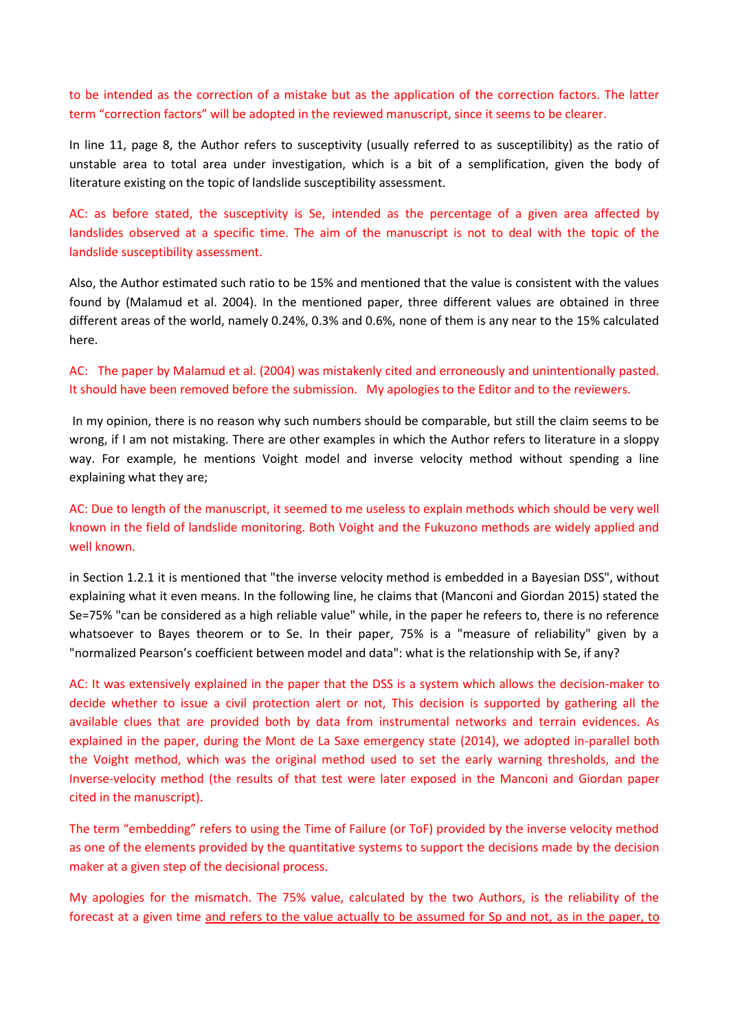to be intended as the correction of a mistake but as the application of the correction factors. The latter term "correction factors" will be adopted in the reviewed manuscript, since it seems to be clearer.

In line 11, page 8, the Author refers to susceptivity (usually referred to as susceptilibity) as the ratio of unstable area to total area under investigation, which is a bit of a semplification, given the body of literature existing on the topic of landslide susceptibility assessment.

AC: as before stated, the susceptivity is Se, intended as the percentage of a given area affected by landslides observed at a specific time. The aim of the manuscript is not to deal with the topic of the landslide susceptibility assessment.

Also, the Author estimated such ratio to be 15% and mentioned that the value is consistent with the values found by (Malamud et al. 2004). In the mentioned paper, three different values are obtained in three different areas of the world, namely 0.24%, 0.3% and 0.6%, none of them is any near to the 15% calculated here.

## AC: The paper by Malamud et al. (2004) was mistakenly cited and erroneously and unintentionally pasted. It should have been removed before the submission. My apologies to the Editor and to the reviewers.

In my opinion, there is no reason why such numbers should be comparable, but still the claim seems to be wrong, if I am not mistaking. There are other examples in which the Author refers to literature in a sloppy way. For example, he mentions Voight model and inverse velocity method without spending a line explaining what they are;

# AC: Due to length of the manuscript, it seemed to me useless to explain methods which should be very well known in the field of landslide monitoring. Both Voight and the Fukuzono methods are widely applied and well known.

in Section 1.2.1 it is mentioned that "the inverse velocity method is embedded in a Bayesian DSS", without explaining what it even means. In the following line, he claims that (Manconi and Giordan 2015) stated the Se=75% "can be considered as a high reliable value" while, in the paper he refeers to, there is no reference whatsoever to Bayes theorem or to Se. In their paper, 75% is a "measure of reliability" given by a "normalized Pearson's coefficient between model and data": what is the relationship with Se, if any?

AC: It was extensively explained in the paper that the DSS is a system which allows the decision-maker to decide whether to issue a civil protection alert or not, This decision is supported by gathering all the available clues that are provided both by data from instrumental networks and terrain evidences. As explained in the paper, during the Mont de La Saxe emergency state (2014), we adopted in-parallel both the Voight method, which was the original method used to set the early warning thresholds, and the Inverse-velocity method (the results of that test were later exposed in the Manconi and Giordan paper cited in the manuscript).

The term "embedding" refers to using the Time of Failure (or ToF) provided by the inverse velocity method as one of the elements provided by the quantitative systems to support the decisions made by the decision maker at a given step of the decisional process.

My apologies for the mismatch. The 75% value, calculated by the two Authors, is the reliability of the forecast at a given time and refers to the value actually to be assumed for Sp and not, as in the paper, to